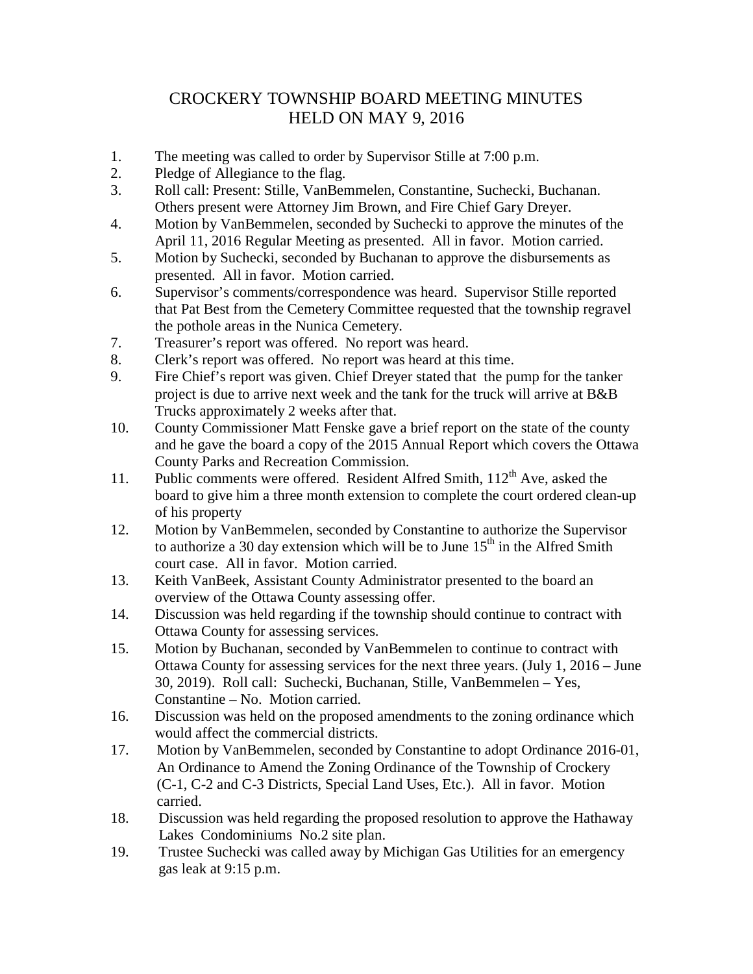## CROCKERY TOWNSHIP BOARD MEETING MINUTES HELD ON MAY 9, 2016

- 1. The meeting was called to order by Supervisor Stille at 7:00 p.m.
- 2. Pledge of Allegiance to the flag.
- 3. Roll call: Present: Stille, VanBemmelen, Constantine, Suchecki, Buchanan. Others present were Attorney Jim Brown, and Fire Chief Gary Dreyer.
- 4. Motion by VanBemmelen, seconded by Suchecki to approve the minutes of the April 11, 2016 Regular Meeting as presented. All in favor. Motion carried.
- 5. Motion by Suchecki, seconded by Buchanan to approve the disbursements as presented. All in favor. Motion carried.
- 6. Supervisor's comments/correspondence was heard. Supervisor Stille reported that Pat Best from the Cemetery Committee requested that the township regravel the pothole areas in the Nunica Cemetery.
- 7. Treasurer's report was offered. No report was heard.
- 8. Clerk's report was offered. No report was heard at this time.
- 9. Fire Chief's report was given. Chief Dreyer stated that the pump for the tanker project is due to arrive next week and the tank for the truck will arrive at B&B Trucks approximately 2 weeks after that.
- 10. County Commissioner Matt Fenske gave a brief report on the state of the county and he gave the board a copy of the 2015 Annual Report which covers the Ottawa County Parks and Recreation Commission.
- 11. Public comments were offered. Resident Alfred Smith, 112<sup>th</sup> Ave, asked the board to give him a three month extension to complete the court ordered clean-up of his property
- 12. Motion by VanBemmelen, seconded by Constantine to authorize the Supervisor to authorize a 30 day extension which will be to June  $15<sup>th</sup>$  in the Alfred Smith court case. All in favor. Motion carried.
- 13. Keith VanBeek, Assistant County Administrator presented to the board an overview of the Ottawa County assessing offer.
- 14. Discussion was held regarding if the township should continue to contract with Ottawa County for assessing services.
- 15. Motion by Buchanan, seconded by VanBemmelen to continue to contract with Ottawa County for assessing services for the next three years. (July 1, 2016 – June 30, 2019). Roll call: Suchecki, Buchanan, Stille, VanBemmelen – Yes, Constantine – No. Motion carried.
- 16. Discussion was held on the proposed amendments to the zoning ordinance which would affect the commercial districts.
- 17. Motion by VanBemmelen, seconded by Constantine to adopt Ordinance 2016-01, An Ordinance to Amend the Zoning Ordinance of the Township of Crockery (C-1, C-2 and C-3 Districts, Special Land Uses, Etc.). All in favor. Motion carried.
- 18. Discussion was held regarding the proposed resolution to approve the Hathaway Lakes Condominiums No.2 site plan.
- 19. Trustee Suchecki was called away by Michigan Gas Utilities for an emergency gas leak at 9:15 p.m.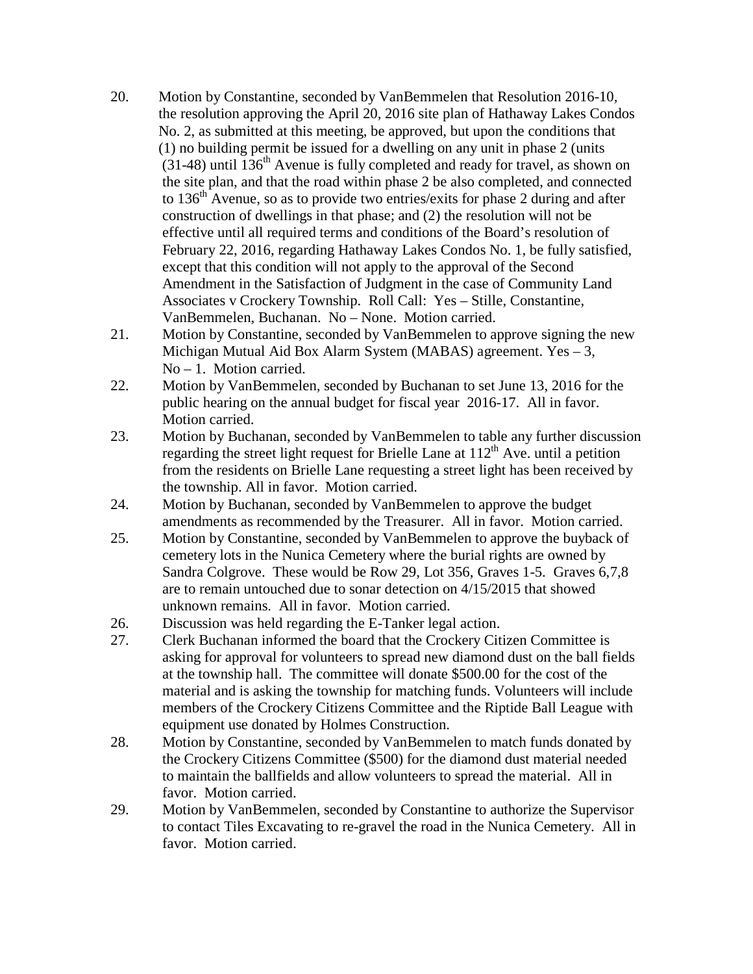- 20. Motion by Constantine, seconded by VanBemmelen that Resolution 2016-10, the resolution approving the April 20, 2016 site plan of Hathaway Lakes Condos No. 2, as submitted at this meeting, be approved, but upon the conditions that (1) no building permit be issued for a dwelling on any unit in phase 2 (units  $(31-48)$  until 136<sup>th</sup> Avenue is fully completed and ready for travel, as shown on the site plan, and that the road within phase 2 be also completed, and connected to 136<sup>th</sup> Avenue, so as to provide two entries/exits for phase 2 during and after construction of dwellings in that phase; and (2) the resolution will not be effective until all required terms and conditions of the Board's resolution of February 22, 2016, regarding Hathaway Lakes Condos No. 1, be fully satisfied, except that this condition will not apply to the approval of the Second Amendment in the Satisfaction of Judgment in the case of Community Land Associates v Crockery Township. Roll Call: Yes – Stille, Constantine, VanBemmelen, Buchanan. No – None. Motion carried.
- 21. Motion by Constantine, seconded by VanBemmelen to approve signing the new Michigan Mutual Aid Box Alarm System (MABAS) agreement. Yes – 3, No – 1. Motion carried.
- 22. Motion by VanBemmelen, seconded by Buchanan to set June 13, 2016 for the public hearing on the annual budget for fiscal year 2016-17. All in favor. Motion carried.
- 23. Motion by Buchanan, seconded by VanBemmelen to table any further discussion regarding the street light request for Brielle Lane at  $112<sup>th</sup>$  Ave. until a petition from the residents on Brielle Lane requesting a street light has been received by the township. All in favor. Motion carried.
- 24. Motion by Buchanan, seconded by VanBemmelen to approve the budget amendments as recommended by the Treasurer. All in favor. Motion carried.
- 25. Motion by Constantine, seconded by VanBemmelen to approve the buyback of cemetery lots in the Nunica Cemetery where the burial rights are owned by Sandra Colgrove. These would be Row 29, Lot 356, Graves 1-5. Graves 6,7,8 are to remain untouched due to sonar detection on 4/15/2015 that showed unknown remains. All in favor. Motion carried.
- 26. Discussion was held regarding the E-Tanker legal action.
- 27. Clerk Buchanan informed the board that the Crockery Citizen Committee is asking for approval for volunteers to spread new diamond dust on the ball fields at the township hall. The committee will donate \$500.00 for the cost of the material and is asking the township for matching funds. Volunteers will include members of the Crockery Citizens Committee and the Riptide Ball League with equipment use donated by Holmes Construction.
- 28. Motion by Constantine, seconded by VanBemmelen to match funds donated by the Crockery Citizens Committee (\$500) for the diamond dust material needed to maintain the ballfields and allow volunteers to spread the material. All in favor. Motion carried.
- 29. Motion by VanBemmelen, seconded by Constantine to authorize the Supervisor to contact Tiles Excavating to re-gravel the road in the Nunica Cemetery. All in favor. Motion carried.